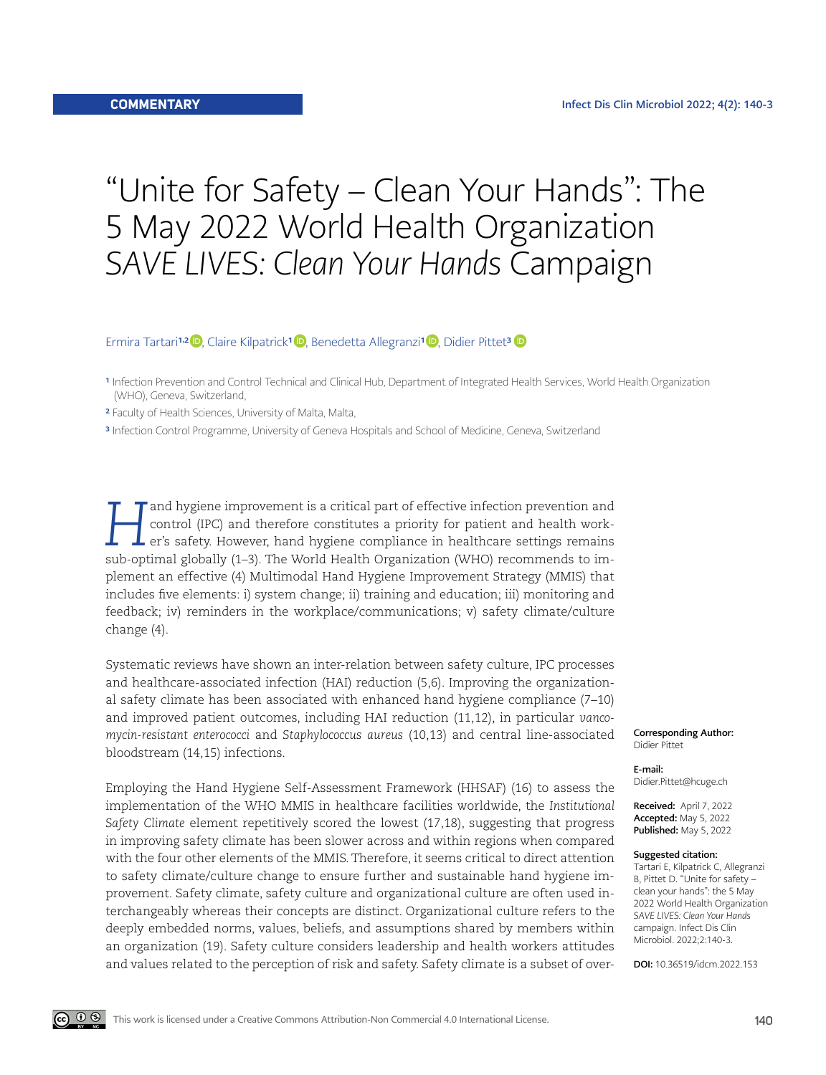## "Unite for Safety – Clean Your Hands": The 5 May 2022 World Health Organization *SAVE LIVES: Clean Your Hands* Campaign

Ermira Tartari<sup>1,2</sup> D, Claire Kilpatrick<sup>1</sup> D, Benedetta Allegranzi<sup>1</sup> D, Didier Pittet<sup>[3](https://orcid.org/0000-0002-3667-7131)</sup>

- <sup>1</sup> Infection Prevention and Control Technical and Clinical Hub, Department of Integrated Health Services, World Health Organization (WHO), Geneva, Switzerland,
- 2 Faculty of Health Sciences, University of Malta, Malta,

3 Infection Control Programme, University of Geneva Hospitals and School of Medicine, Geneva, Switzerland

*H*and hygiene improvement is a critical part of effective infection prevention and control (IPC) and therefore constitutes a priority for patient and health worker's safety. However, hand hygiene compliance in healthcare settings remains sub-optimal globally (1–3). The World Health Organization (WHO) recommends to implement an effective (4) Multimodal Hand Hygiene Improvement Strategy (MMIS) that includes five elements: i) system change; ii) training and education; iii) monitoring and feedback; iv) reminders in the workplace/communications; v) safety climate/culture change (4).

Systematic reviews have shown an inter-relation between safety culture, IPC processes and healthcare-associated infection (HAI) reduction (5,6). Improving the organizational safety climate has been associated with enhanced hand hygiene compliance (7–10) and improved patient outcomes, including HAI reduction (11,12), in particular *vancomycin-resistant enterococci* and *Staphylococcus aureus* (10,13) and central line-associated bloodstream (14,15) infections.

Employing the Hand Hygiene Self-Assessment Framework (HHSAF) (16) to assess the implementation of the WHO MMIS in healthcare facilities worldwide, the *Institutional Safety Climate* element repetitively scored the lowest (17,18), suggesting that progress in improving safety climate has been slower across and within regions when compared with the four other elements of the MMIS. Therefore, it seems critical to direct attention to safety climate/culture change to ensure further and sustainable hand hygiene improvement. Safety climate, safety culture and organizational culture are often used interchangeably whereas their concepts are distinct. Organizational culture refers to the deeply embedded norms, values, beliefs, and assumptions shared by members within an organization (19). Safety culture considers leadership and health workers attitudes and values related to the perception of risk and safety. Safety climate is a subset of overCorresponding Author: Didier Pittet

E-mail: Didier.Pittet@hcuge.ch

Received: April 7, 2022 Accepted: May 5, 2022 Published: May 5, 2022

## Suggested citation:

Tartari E, Kilpatrick C, Allegranzi B, Pittet D. "Unite for safety – clean your hands": the 5 May 2022 World Health Organization *SAVE LIVES: Clean Your Hands*  campaign. Infect Dis Clin Microbiol. 2022;2:140-3.

DOI: 10.36519/idcm.2022.153

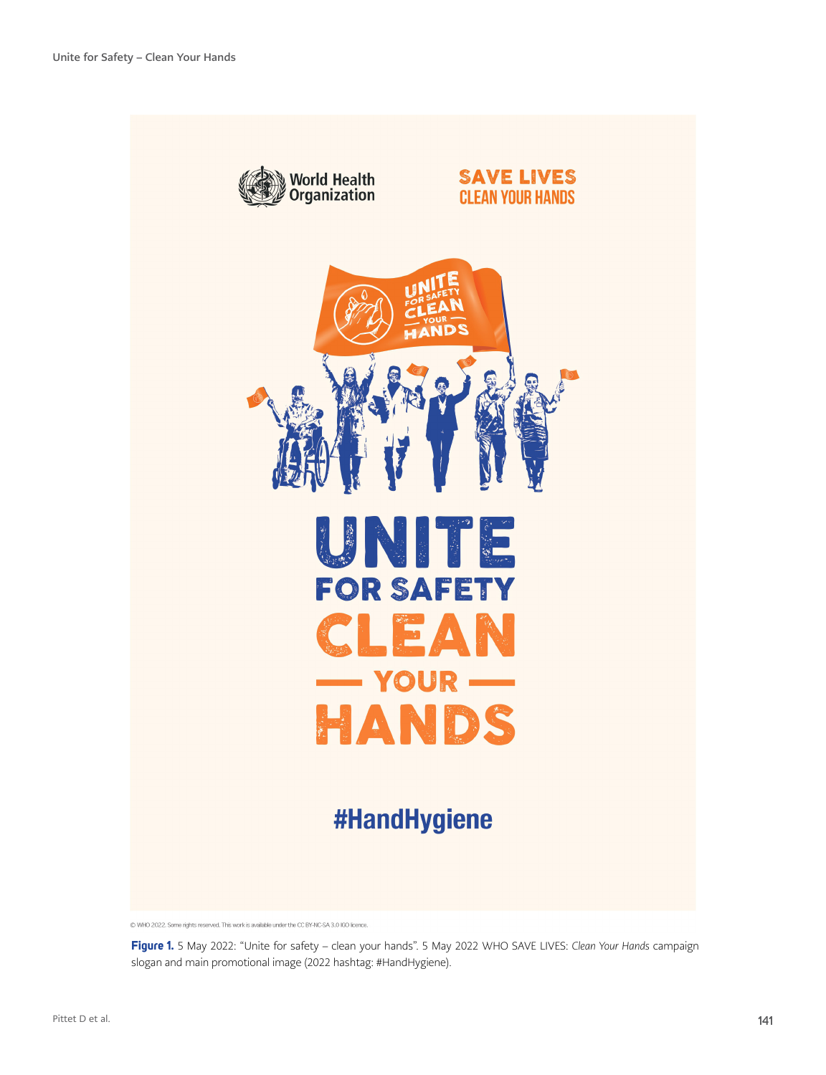

@ WHO 2022. Some rights reserved. This work is available under the CC BY-NC-SA 3.0 IGO licence.

**Figure 1.** 5 May 2022: "Unite for safety – clean your hands". 5 May 2022 WHO SAVE LIVES: *Clean Your Hands* campaign slogan and main promotional image (2022 hashtag: #HandHygiene).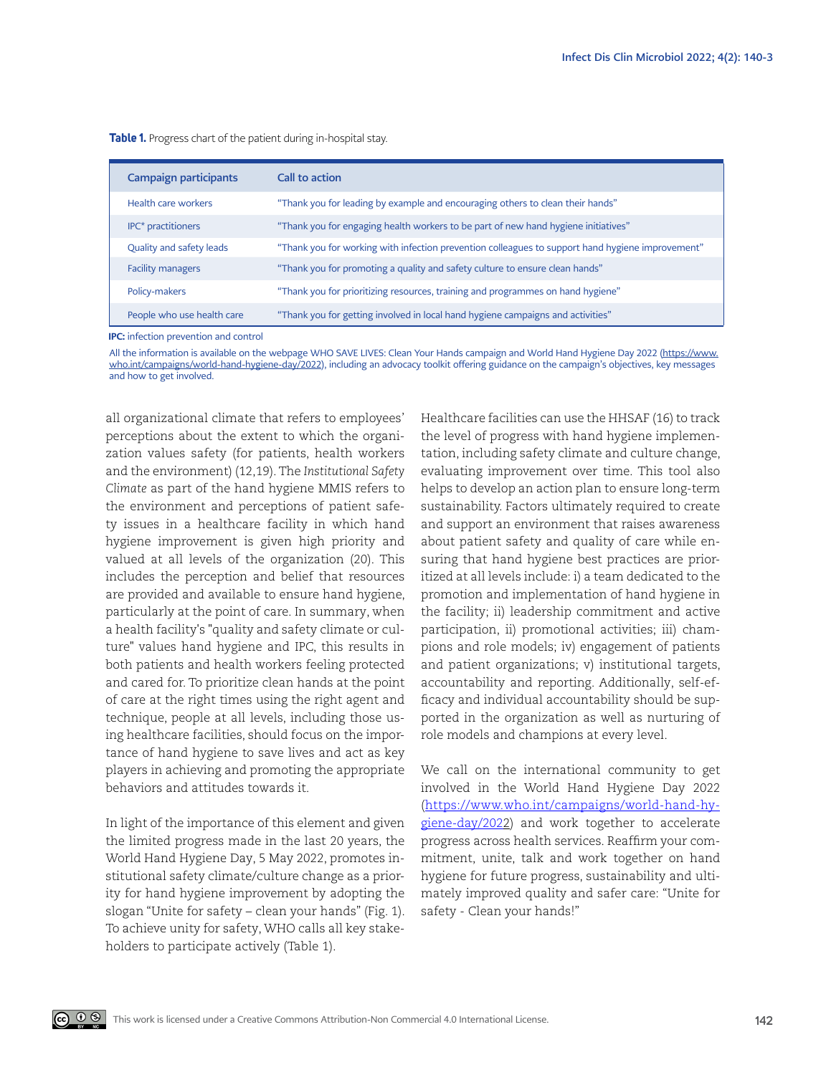| <b>Campaign participants</b> | Call to action                                                                                   |
|------------------------------|--------------------------------------------------------------------------------------------------|
| Health care workers          | "Thank you for leading by example and encouraging others to clean their hands"                   |
| IPC* practitioners           | "Thank you for engaging health workers to be part of new hand hygiene initiatives"               |
| Quality and safety leads     | "Thank you for working with infection prevention colleagues to support hand hygiene improvement" |
| <b>Facility managers</b>     | "Thank you for promoting a quality and safety culture to ensure clean hands"                     |
| Policy-makers                | "Thank you for prioritizing resources, training and programmes on hand hygiene"                  |
| People who use health care   | "Thank you for getting involved in local hand hygiene campaigns and activities"                  |

**Table 1.** Progress chart of the patient during in-hospital stay.

IPC: infection prevention and control

All the information is available on the webpage WHO SAVE LIVES: Clean Your Hands campaign and World Hand Hygiene Day 2022 [\(https://www.](https://www.who.int/campaigns/world-hand-hygiene-day/2022) [who.int/campaigns/world-hand-hygiene-day/2022](https://www.who.int/campaigns/world-hand-hygiene-day/2022)), including an advocacy toolkit offering guidance on the campaign's objectives, key messages and how to get involved.

all organizational climate that refers to employees' perceptions about the extent to which the organization values safety (for patients, health workers and the environment) (12,19). The *Institutional Safety Climate* as part of the hand hygiene MMIS refers to the environment and perceptions of patient safety issues in a healthcare facility in which hand hygiene improvement is given high priority and valued at all levels of the organization (20). This includes the perception and belief that resources are provided and available to ensure hand hygiene, particularly at the point of care. In summary, when a health facility's "quality and safety climate or culture" values hand hygiene and IPC, this results in both patients and health workers feeling protected and cared for. To prioritize clean hands at the point of care at the right times using the right agent and technique, people at all levels, including those using healthcare facilities, should focus on the importance of hand hygiene to save lives and act as key players in achieving and promoting the appropriate behaviors and attitudes towards it.

In light of the importance of this element and given the limited progress made in the last 20 years, the World Hand Hygiene Day, 5 May 2022, promotes institutional safety climate/culture change as a priority for hand hygiene improvement by adopting the slogan "Unite for safety – clean your hands" (Fig. 1). To achieve unity for safety, WHO calls all key stakeholders to participate actively (Table 1).

ெ 0 ®

Healthcare facilities can use the HHSAF (16) to track the level of progress with hand hygiene implementation, including safety climate and culture change, evaluating improvement over time. This tool also helps to develop an action plan to ensure long-term sustainability. Factors ultimately required to create and support an environment that raises awareness about patient safety and quality of care while ensuring that hand hygiene best practices are prioritized at all levels include: i) a team dedicated to the promotion and implementation of hand hygiene in the facility; ii) leadership commitment and active participation, ii) promotional activities; iii) champions and role models; iv) engagement of patients and patient organizations; v) institutional targets, accountability and reporting. Additionally, self-efficacy and individual accountability should be supported in the organization as well as nurturing of role models and champions at every level.

We call on the international community to get involved in the World Hand Hygiene Day 2022 ([https://www.who.int/campaigns/world-hand-hy](https://www.who.int/campaigns/world-hand-hygiene-day/2022)[giene-day/2022](https://www.who.int/campaigns/world-hand-hygiene-day/2022)) and work together to accelerate progress across health services. Reaffirm your commitment, unite, talk and work together on hand hygiene for future progress, sustainability and ultimately improved quality and safer care: "Unite for safety - Clean your hands!"